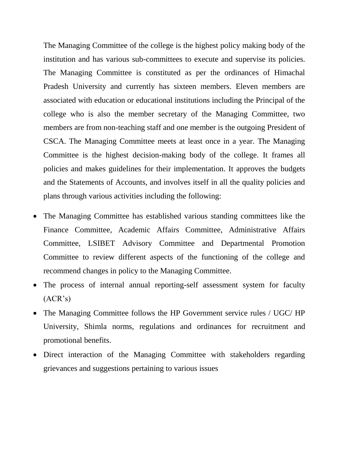The Managing Committee of the college is the highest policy making body of the institution and has various sub-committees to execute and supervise its policies. The Managing Committee is constituted as per the ordinances of Himachal Pradesh University and currently has sixteen members. Eleven members are associated with education or educational institutions including the Principal of the college who is also the member secretary of the Managing Committee, two members are from non-teaching staff and one member is the outgoing President of CSCA. The Managing Committee meets at least once in a year. The Managing Committee is the highest decision-making body of the college. It frames all policies and makes guidelines for their implementation. It approves the budgets and the Statements of Accounts, and involves itself in all the quality policies and plans through various activities including the following:

- The Managing Committee has established various standing committees like the Finance Committee, Academic Affairs Committee, Administrative Affairs Committee, LSIBET Advisory Committee and Departmental Promotion Committee to review different aspects of the functioning of the college and recommend changes in policy to the Managing Committee.
- The process of internal annual reporting-self assessment system for faculty (ACR's)
- The Managing Committee follows the HP Government service rules / UGC/ HP University, Shimla norms, regulations and ordinances for recruitment and promotional benefits.
- Direct interaction of the Managing Committee with stakeholders regarding grievances and suggestions pertaining to various issues